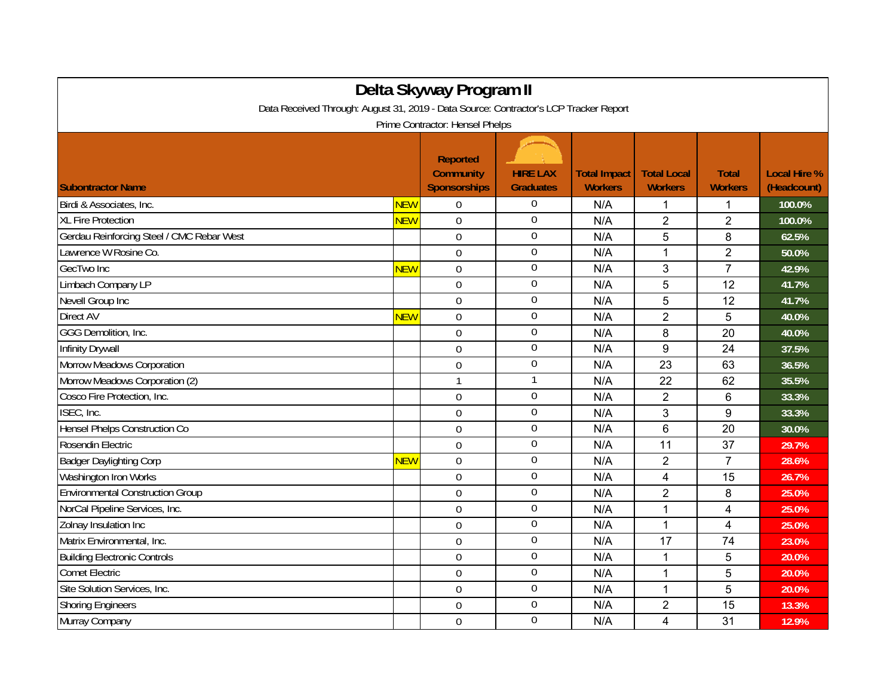| Delta Skyway Program II                                                                                                  |            |                                                            |                                     |                                       |                                      |                                |                                    |  |  |  |  |  |
|--------------------------------------------------------------------------------------------------------------------------|------------|------------------------------------------------------------|-------------------------------------|---------------------------------------|--------------------------------------|--------------------------------|------------------------------------|--|--|--|--|--|
| Data Received Through: August 31, 2019 - Data Source: Contractor's LCP Tracker Report<br>Prime Contractor: Hensel Phelps |            |                                                            |                                     |                                       |                                      |                                |                                    |  |  |  |  |  |
| <b>Subontractor Name</b>                                                                                                 |            | <b>Reported</b><br><b>Community</b><br><b>Sponsorships</b> | <b>HIRE LAX</b><br><b>Graduates</b> | <b>Total Impact</b><br><b>Workers</b> | <b>Total Local</b><br><b>Workers</b> | <b>Total</b><br><b>Workers</b> | <b>Local Hire %</b><br>(Headcount) |  |  |  |  |  |
| Birdi & Associates, Inc.                                                                                                 | <b>NEW</b> | $\Omega$                                                   | $\boldsymbol{0}$                    | N/A                                   | 1                                    | 1                              | 100.0%                             |  |  |  |  |  |
| <b>XL Fire Protection</b>                                                                                                | <b>NEW</b> | $\overline{0}$                                             | $\boldsymbol{0}$                    | N/A                                   | $\overline{2}$                       | $\overline{2}$                 | 100.0%                             |  |  |  |  |  |
| Gerdau Reinforcing Steel / CMC Rebar West                                                                                |            | $\mathbf 0$                                                | $\overline{0}$                      | N/A                                   | 5                                    | 8                              | 62.5%                              |  |  |  |  |  |
| Lawrence W Rosine Co.                                                                                                    |            | $\mathbf 0$                                                | $\overline{0}$                      | N/A                                   | $\mathbf{1}$                         | $\overline{2}$                 | 50.0%                              |  |  |  |  |  |
| GecTwo Inc                                                                                                               | <b>NEW</b> | $\overline{0}$                                             | $\boldsymbol{0}$                    | N/A                                   | 3                                    | $\overline{7}$                 | 42.9%                              |  |  |  |  |  |
| Limbach Company LP                                                                                                       |            | $\overline{0}$                                             | $\boldsymbol{0}$                    | N/A                                   | 5                                    | 12                             | 41.7%                              |  |  |  |  |  |
| Nevell Group Inc                                                                                                         |            | $\overline{0}$                                             | $\boldsymbol{0}$                    | N/A                                   | 5                                    | 12                             | 41.7%                              |  |  |  |  |  |
| Direct AV                                                                                                                | <b>NEW</b> | $\overline{0}$                                             | $\overline{0}$                      | N/A                                   | $\overline{2}$                       | 5                              | 40.0%                              |  |  |  |  |  |
| GGG Demolition, Inc.                                                                                                     |            | $\Omega$                                                   | $\mathbf 0$                         | N/A                                   | 8                                    | 20                             | 40.0%                              |  |  |  |  |  |
| Infinity Drywall                                                                                                         |            | $\mathbf 0$                                                | $\mathbf 0$                         | N/A                                   | $\boldsymbol{9}$                     | 24                             | 37.5%                              |  |  |  |  |  |
| Morrow Meadows Corporation                                                                                               |            | $\overline{0}$                                             | $\boldsymbol{0}$                    | N/A                                   | 23                                   | 63                             | 36.5%                              |  |  |  |  |  |
| Morrow Meadows Corporation (2)                                                                                           |            | $\mathbf{1}$                                               | $\mathbf{1}$                        | N/A                                   | 22                                   | 62                             | 35.5%                              |  |  |  |  |  |
| Cosco Fire Protection, Inc.                                                                                              |            | $\mathbf 0$                                                | $\boldsymbol{0}$                    | N/A                                   | $\overline{2}$                       | 6                              | 33.3%                              |  |  |  |  |  |
| ISEC, Inc.                                                                                                               |            | $\overline{0}$                                             | $\boldsymbol{0}$                    | N/A                                   | 3                                    | 9                              | 33.3%                              |  |  |  |  |  |
| <b>Hensel Phelps Construction Co</b>                                                                                     |            | $\Omega$                                                   | $\mathbf 0$                         | N/A                                   | 6                                    | 20                             | 30.0%                              |  |  |  |  |  |
| Rosendin Electric                                                                                                        |            | $\mathbf 0$                                                | $\mathbf 0$                         | N/A                                   | 11                                   | 37                             | 29.7%                              |  |  |  |  |  |
| <b>Badger Daylighting Corp</b>                                                                                           | <b>NEW</b> | $\mathbf 0$                                                | $\overline{0}$                      | N/A                                   | $\overline{2}$                       | $\overline{7}$                 | 28.6%                              |  |  |  |  |  |
| Washington Iron Works                                                                                                    |            | $\Omega$                                                   | $\mathbf 0$                         | N/A                                   | $\overline{4}$                       | 15                             | 26.7%                              |  |  |  |  |  |
| <b>Environmental Construction Group</b>                                                                                  |            | $\mathbf 0$                                                | $\boldsymbol{0}$                    | N/A                                   | $\overline{2}$                       | 8                              | 25.0%                              |  |  |  |  |  |
| NorCal Pipeline Services, Inc.                                                                                           |            | $\mathbf 0$                                                | $\overline{0}$                      | N/A                                   | 1                                    | 4                              | 25.0%                              |  |  |  |  |  |
| Zolnay Insulation Inc                                                                                                    |            | $\Omega$                                                   | $\overline{0}$                      | N/A                                   | 1                                    | 4                              | 25.0%                              |  |  |  |  |  |
| Matrix Environmental, Inc.                                                                                               |            | $\mathbf 0$                                                | $\boldsymbol{0}$                    | N/A                                   | 17                                   | 74                             | 23.0%                              |  |  |  |  |  |
| <b>Building Electronic Controls</b>                                                                                      |            | $\mathbf 0$                                                | $\mathbf 0$                         | N/A                                   | 1                                    | 5                              | 20.0%                              |  |  |  |  |  |
| <b>Comet Electric</b>                                                                                                    |            | $\mathbf 0$                                                | $\mathbf 0$                         | N/A                                   | $\mathbf{1}$                         | 5                              | 20.0%                              |  |  |  |  |  |
| Site Solution Services, Inc.                                                                                             |            | $\mathbf 0$                                                | $\boldsymbol{0}$                    | N/A                                   | 1                                    | 5                              | 20.0%                              |  |  |  |  |  |
| <b>Shoring Engineers</b>                                                                                                 |            | $\mathbf 0$                                                | $\boldsymbol{0}$                    | N/A                                   | $\overline{2}$                       | 15                             | 13.3%                              |  |  |  |  |  |
| Murray Company                                                                                                           |            | $\overline{0}$                                             | $\mathbf 0$                         | N/A                                   | 4                                    | 31                             | 12.9%                              |  |  |  |  |  |